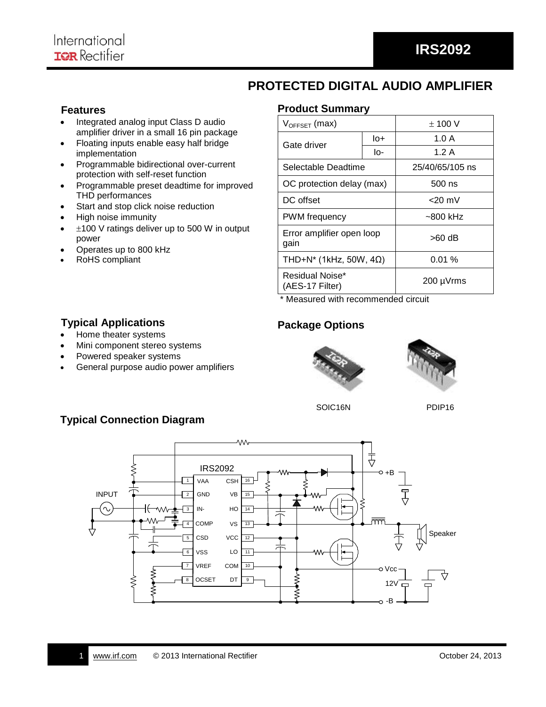# **PROTECTED DIGITAL AUDIO AMPLIFIER**

### **Features**

- Integrated analog input Class D audio amplifier driver in a small 16 pin package
- Floating inputs enable easy half bridge implementation
- Programmable bidirectional over-current protection with self-reset function
- Programmable preset deadtime for improved THD performances
- Start and stop click noise reduction
- High noise immunity
- $\pm$ 100 V ratings deliver up to 500 W in output power
- Operates up to 800 kHz

**Typical Applications** • Home theater systems

RoHS compliant

### **Product Summary**

| $V_{OFFSET}$ (max)                 | $\pm$ 100 V |                 |  |
|------------------------------------|-------------|-----------------|--|
| Gate driver                        | lo+         | 1.0A            |  |
|                                    | lo-         | 1.2 A           |  |
| Selectable Deadtime                |             | 25/40/65/105 ns |  |
| OC protection delay (max)          |             | 500 ns          |  |
| DC offset                          | $<$ 20 mV   |                 |  |
| <b>PWM</b> frequency               | $~500$ kHz  |                 |  |
| Error amplifier open loop<br>gain  | >60 dB      |                 |  |
| THD+N* (1kHz, 50W, 4 $\Omega$ )    | 0.01%       |                 |  |
| Residual Noise*<br>(AES-17 Filter) | 200 µVrms   |                 |  |

\* Measured with recommended circuit

## **Package Options**





SOIC16N PDIP16



# **Typical Connection Diagram**

 Mini component stereo systems Powered speaker systems

General purpose audio power amplifiers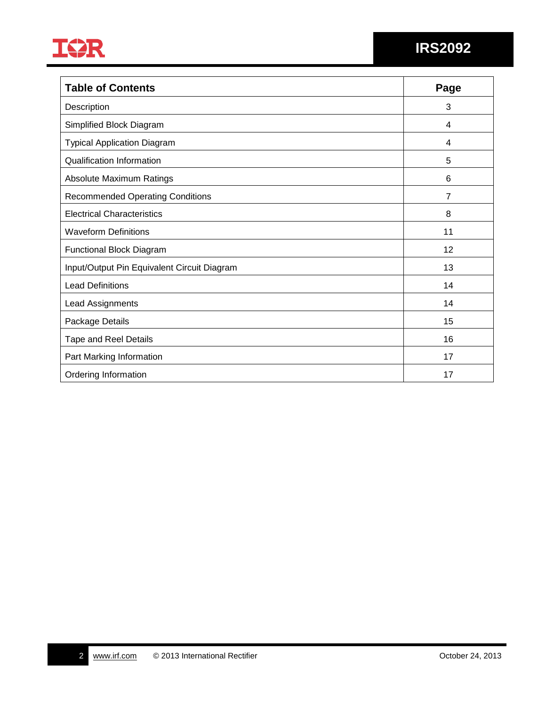

| <b>Table of Contents</b>                    | Page |
|---------------------------------------------|------|
| Description                                 | 3    |
| Simplified Block Diagram                    | 4    |
| <b>Typical Application Diagram</b>          | 4    |
| <b>Qualification Information</b>            | 5    |
| <b>Absolute Maximum Ratings</b>             | 6    |
| <b>Recommended Operating Conditions</b>     | 7    |
| <b>Electrical Characteristics</b>           | 8    |
| <b>Waveform Definitions</b>                 | 11   |
| Functional Block Diagram                    | 12   |
| Input/Output Pin Equivalent Circuit Diagram | 13   |
| <b>Lead Definitions</b>                     | 14   |
| Lead Assignments                            | 14   |
| Package Details                             | 15   |
| <b>Tape and Reel Details</b>                | 16   |
| Part Marking Information                    | 17   |
| Ordering Information                        | 17   |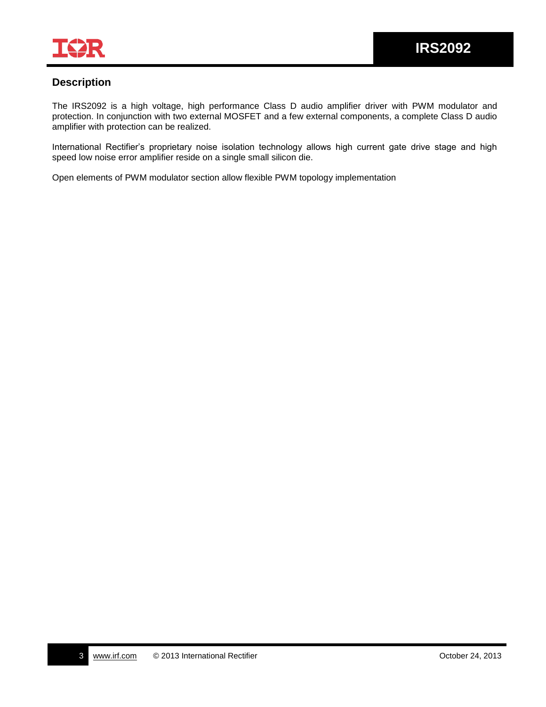

### **Description**

The IRS2092 is a high voltage, high performance Class D audio amplifier driver with PWM modulator and protection. In conjunction with two external MOSFET and a few external components, a complete Class D audio amplifier with protection can be realized.

International Rectifier's proprietary noise isolation technology allows high current gate drive stage and high speed low noise error amplifier reside on a single small silicon die.

Open elements of PWM modulator section allow flexible PWM topology implementation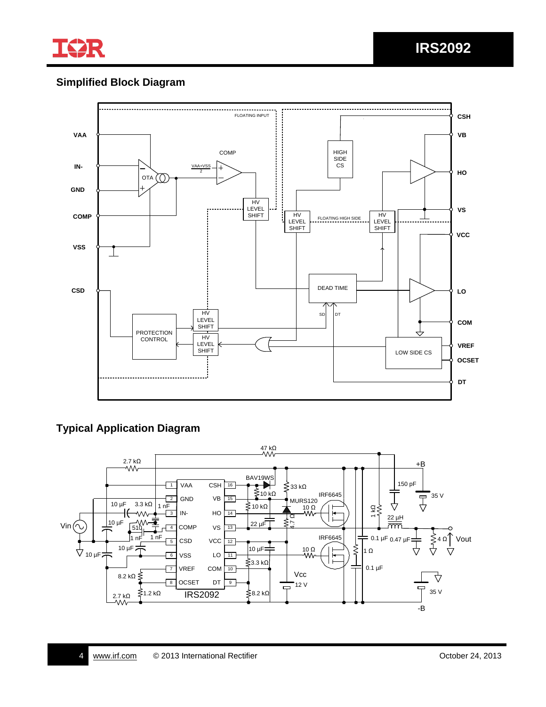

# **Simplified Block Diagram**



### **Typical Application Diagram**

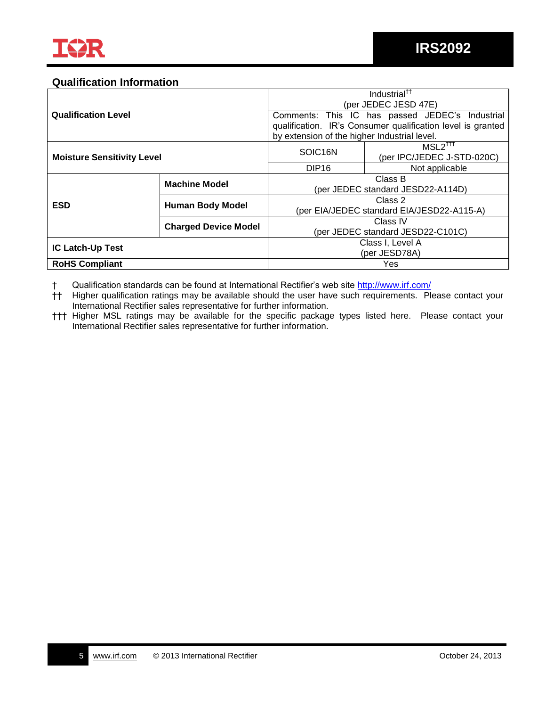### **Qualification Information**

|                                   |                             |                                                 | Industrial <sup>††</sup>                                    |  |  |  |
|-----------------------------------|-----------------------------|-------------------------------------------------|-------------------------------------------------------------|--|--|--|
|                                   |                             |                                                 | (per JEDEC JESD 47E)                                        |  |  |  |
| <b>Qualification Level</b>        |                             | Comments: This IC has passed JEDEC's Industrial |                                                             |  |  |  |
|                                   |                             |                                                 | qualification. IR's Consumer qualification level is granted |  |  |  |
|                                   |                             | by extension of the higher Industrial level.    |                                                             |  |  |  |
| <b>Moisture Sensitivity Level</b> |                             |                                                 | MSL2 <sup>TTT</sup>                                         |  |  |  |
|                                   |                             | SOIC16N                                         | (per IPC/JEDEC J-STD-020C)                                  |  |  |  |
|                                   |                             | DIP <sub>16</sub>                               | Not applicable                                              |  |  |  |
|                                   | <b>Machine Model</b>        | Class B                                         |                                                             |  |  |  |
|                                   |                             | (per JEDEC standard JESD22-A114D)               |                                                             |  |  |  |
| <b>ESD</b>                        |                             | Class 2                                         |                                                             |  |  |  |
|                                   | <b>Human Body Model</b>     | (per EIA/JEDEC standard EIA/JESD22-A115-A)      |                                                             |  |  |  |
|                                   |                             | Class IV                                        |                                                             |  |  |  |
|                                   | <b>Charged Device Model</b> | (per JEDEC standard JESD22-C101C)               |                                                             |  |  |  |
| <b>IC Latch-Up Test</b>           |                             |                                                 | Class I, Level A                                            |  |  |  |
|                                   |                             | (per JESD78A)                                   |                                                             |  |  |  |
| <b>RoHS Compliant</b>             |                             | Yes                                             |                                                             |  |  |  |

† Qualification standards can be found at International Rectifier's web site<http://www.irf.com/>

†† Higher qualification ratings may be available should the user have such requirements. Please contact your International Rectifier sales representative for further information.

††† Higher MSL ratings may be available for the specific package types listed here. Please contact your International Rectifier sales representative for further information.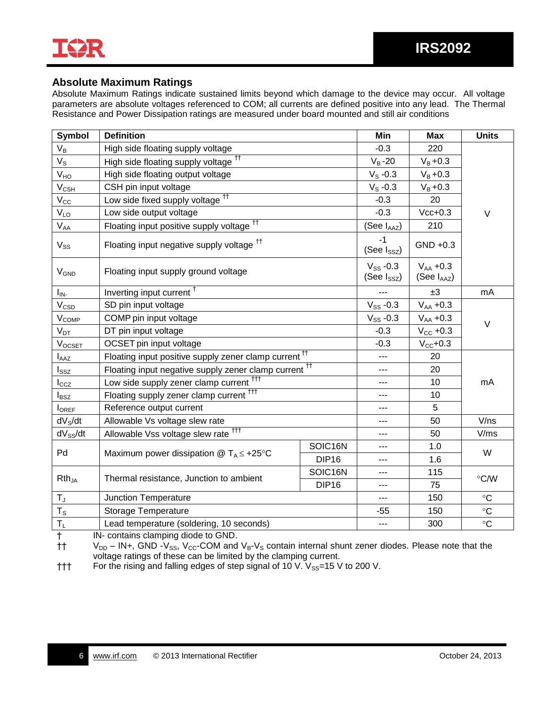

### **Absolute Maximum Ratings**

Absolute Maximum Ratings indicate sustained limits beyond which damage to the device may occur. All voltage parameters are absolute voltages referenced to COM; all currents are defined positive into any lead. The Thermal Resistance and Power Dissipation ratings are measured under board mounted and still air conditions

| <b>Symbol</b>               | <b>Definition</b>                                                                                 | Min                               | <b>Max</b>                       | <b>Units</b>  |               |  |
|-----------------------------|---------------------------------------------------------------------------------------------------|-----------------------------------|----------------------------------|---------------|---------------|--|
| $V_B$                       | High side floating supply voltage                                                                 |                                   | $-0.3$                           | 220           |               |  |
| $V_{\rm S}$                 | High side floating supply voltage <sup>tt</sup>                                                   |                                   | $V_B - 20$                       | $V_B + 0.3$   |               |  |
| V <sub>HO</sub>             | High side floating output voltage                                                                 |                                   | $V_S - 0.3$                      | $V_{B} + 0.3$ |               |  |
| $V_{CSH}$                   | CSH pin input voltage                                                                             | $V_S - 0.3$                       | $V_{B} + 0.3$                    |               |               |  |
| $\rm V_{\rm CC}$            | Low side fixed supply voltage <sup>tt</sup>                                                       |                                   | $-0.3$                           | 20            |               |  |
| $V_{LO}$                    | Low side output voltage                                                                           |                                   | $-0.3$                           | $Vcc+0.3$     | $\vee$        |  |
| $\mathsf{V}_{\mathsf{AA}}$  | Floating input positive supply voltage <sup>11</sup>                                              |                                   | (See I <sub>AAZ</sub> )          | 210           |               |  |
| $V_{SS}$                    | Floating input negative supply voltage <sup>tt</sup>                                              |                                   | $-1$<br>(See $I_{SSZ}$ )         | $GND +0.3$    |               |  |
| <b>V<sub>GND</sub></b>      | Floating input supply ground voltage                                                              | $V_{SS}$ -0.3<br>(See $I_{SSZ}$ ) | $V_{AA}$ +0.3<br>$(See I_{AAZ})$ |               |               |  |
| $I_{IN}$                    | Inverting input current <sup>†</sup>                                                              | ---                               | ±3                               | mA            |               |  |
| $\rm V_{\rm CSD}$           | SD pin input voltage                                                                              | $V_{SS}$ -0.3                     | $V_{AA} + 0.3$                   | $\vee$        |               |  |
| <b>V<sub>COMP</sub></b>     | COMP pin input voltage                                                                            | $V_{SS}$ -0.3                     | $V_{AA} + 0.3$                   |               |               |  |
| $V_{DT}$                    | DT pin input voltage                                                                              | $-0.3$                            | $V_{CC}$ +0.3                    |               |               |  |
| $V_{OCSET}$                 | OCSET pin input voltage                                                                           |                                   | $-0.3$                           | $V_{CC}+0.3$  |               |  |
| $I_{\text{AAZ}}$            | Floating input positive supply zener clamp current <sup>11</sup>                                  |                                   | ---                              | 20            |               |  |
| $\mathsf{l}_{\mathsf{SSZ}}$ | Floating input negative supply zener clamp current <sup>tt</sup>                                  |                                   | $\overline{a}$                   | 20            |               |  |
| $I_{CCZ}$                   | Low side supply zener clamp current <sup>ttt</sup>                                                |                                   | ---                              | 10            | mA            |  |
| $I_{\mathsf{BSZ}}$          | Floating supply zener clamp current <sup>ttt</sup>                                                |                                   | $---$                            | 10            |               |  |
| <b>I</b> OREF               | Reference output current                                                                          |                                   |                                  | 5             |               |  |
| dV <sub>S</sub> /dt         | Allowable Vs voltage slew rate                                                                    |                                   | $---$                            | 50            | V/ns          |  |
| $dV_{SS}/dt$                | Allowable Vss voltage slew rate <sup>fff</sup>                                                    |                                   | ---                              | 50            | V/ms          |  |
| Pd                          | Maximum power dissipation @ $T_A \leq +25^{\circ}C$                                               | SOIC16N                           | $---$                            | 1.0           | W             |  |
|                             |                                                                                                   | DIP <sub>16</sub>                 | ---                              | 1.6           |               |  |
| $Rth_{JA}$                  | Thermal resistance, Junction to ambient                                                           | SOIC16N                           | $---$                            | 115           | $\degree$ C/W |  |
|                             |                                                                                                   | DIP <sub>16</sub>                 | ---                              | 75            |               |  |
| $T_{J}$                     | Junction Temperature                                                                              |                                   |                                  | 150           | $\circ$ C     |  |
| $T_S$                       | <b>Storage Temperature</b>                                                                        |                                   | $-55$                            | 150           | $\circ$ C     |  |
| $T_L$<br>$\mathbf{r}$       | Lead temperature (soldering, 10 seconds)<br><b><i>Community Community Community Community</i></b> |                                   | ---                              | 300           | $\circ$ C     |  |

† IN- contains clamping diode to GND.

 $\dagger$  V<sub>DD</sub> – IN+, GND -V<sub>SS</sub>, V<sub>CC</sub>-COM and V<sub>B</sub>-V<sub>S</sub> contain internal shunt zener diodes. Please note that the voltage ratings of these can be limited by the clamping current.

 $\dagger\dagger\dagger$  For the rising and falling edges of step signal of 10 V.  $V_{SS}=15$  V to 200 V.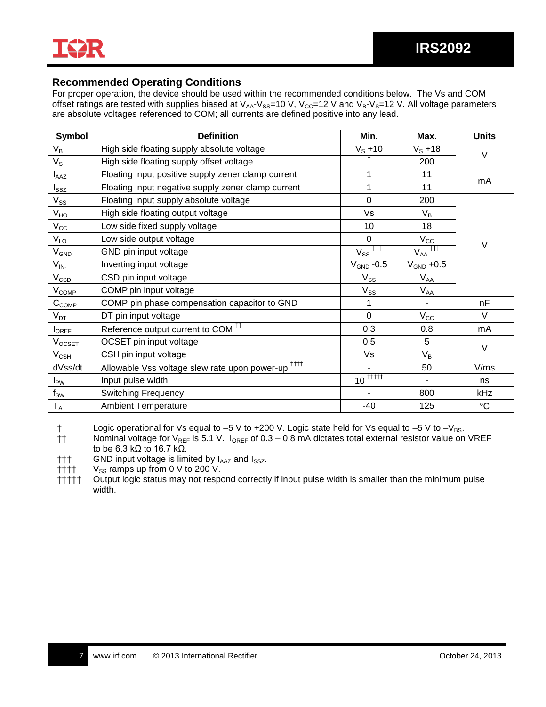

### **Recommended Operating Conditions**

For proper operation, the device should be used within the recommended conditions below. The Vs and COM offset ratings are tested with supplies biased at  $V_{AA}$ - $V_{SS}=10$  V,  $V_{CC}=12$  V and  $V_B$ - $V_S=12$  V. All voltage parameters are absolute voltages referenced to COM; all currents are defined positive into any lead.

| Symbol                     | <b>Definition</b>                                            | Min.                                           | Max.                | <b>Units</b>      |
|----------------------------|--------------------------------------------------------------|------------------------------------------------|---------------------|-------------------|
| $\mathsf{V}_\mathsf{B}$    | High side floating supply absolute voltage                   | $V_S + 10$                                     | $V_S + 18$          | $\vee$            |
| $V_{\rm S}$                | High side floating supply offset voltage                     |                                                | 200                 |                   |
| $I_{\text{AAZ}}$           | Floating input positive supply zener clamp current           | 1                                              | 11                  | mA                |
| $I_{\tt SSZ}$              | Floating input negative supply zener clamp current           |                                                | 11                  |                   |
| $\mathsf{V}_{\mathsf{SS}}$ | Floating input supply absolute voltage                       | $\overline{0}$                                 | 200                 |                   |
| V <sub>HO</sub>            | High side floating output voltage                            | Vs                                             | $V_B$               |                   |
| $V_{\rm CC}$               | Low side fixed supply voltage                                | 10                                             | 18                  |                   |
| $V_{LO}$                   | Low side output voltage                                      | $\mathbf 0$                                    | $V_{\rm CC}$        | $\vee$            |
| $V_{GND}$                  | GND pin input voltage                                        | $V_{ss}$ <sup><math>\frac{1}{111}</math></sup> | $+ + +$<br>$V_{AA}$ |                   |
| $V_{IN}$                   | Inverting input voltage                                      | $\rm V_{GND}$ -0.5                             | $V_{GND}$ +0.5      |                   |
| $\rm V_{CSD}$              | CSD pin input voltage                                        | $V_{SS}$                                       | $V_{AA}$            |                   |
| $V_{COMP}$                 | COMP pin input voltage                                       | $V_{SS}$                                       | $V_{AA}$            |                   |
| $C_{COMP}$                 | COMP pin phase compensation capacitor to GND                 | 1                                              | $\blacksquare$      | nF                |
| $V_{DT}$                   | DT pin input voltage                                         | $\overline{0}$                                 | $V_{\rm CC}$        | $\vee$            |
| $I_{OREF}$                 | Reference output current to COM <sup>++</sup>                | 0.3                                            | 0.8                 | mA                |
| $V_{OCSET}$                | OCSET pin input voltage                                      | 0.5                                            | 5                   | $\vee$            |
| $\rm V_{CSH}$              | CSH pin input voltage                                        | Vs                                             | $V_B$               |                   |
| dVss/dt                    | <b>TTTT</b><br>Allowable Vss voltage slew rate upon power-up |                                                | 50                  | V/ms              |
| $I_{PW}$                   | Input pulse width                                            | $10^{\frac{1}{11111}}$                         | $\blacksquare$      | ns                |
| $f_{SW}$                   | Switching Frequency                                          |                                                | 800                 | kHz               |
| $T_A$                      | <b>Ambient Temperature</b>                                   | $-40$                                          | 125                 | $^\circ \text{C}$ |

† Logic operational for Vs equal to –5 V to +200 V. Logic state held for Vs equal to –5 V to – $V_{BS}$ .<br>†† Nominal voltage for V<sub>REF</sub> is 5.1 V. l<sub>OREF</sub> of 0.3 – 0.8 mA dictates total external resistor value on

Nominal voltage for V<sub>REF</sub> is 5.1 V. I<sub>OREF</sub> of 0.3 – 0.8 mA dictates total external resistor value on VREF to be 6.3 kΩ to 16.7 kΩ.

 $\dagger\dagger$  GND input voltage is limited by  $I_{\text{AAZ}}$  and  $I_{\text{SSZ}}$ .

 $\uparrow$  †† $\uparrow$  V<sub>ss</sub> ramps up from 0 V to 200 V.

††††† Output logic status may not respond correctly if input pulse width is smaller than the minimum pulse width.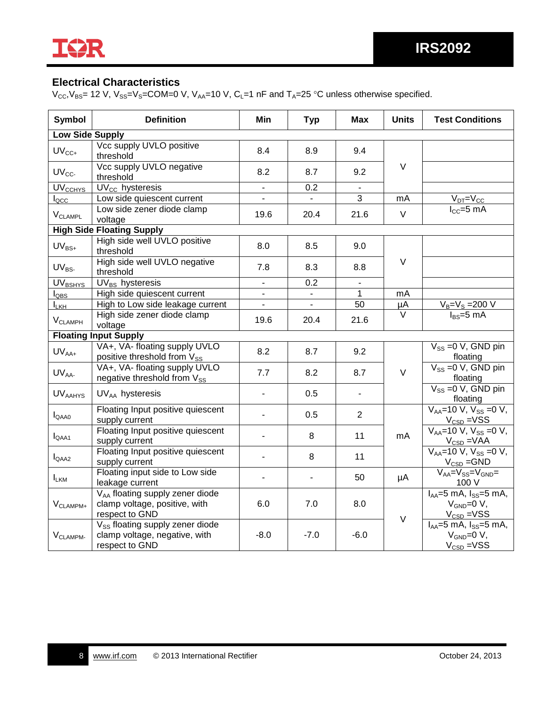

## **Electrical Characteristics**

 $V_{CC}$ ,  $V_{BS}$  = 12 V,  $V_{SS}$  = COM=0 V,  $V_{AA}$ =10 V, C<sub>L</sub>=1 nF and T<sub>A</sub>=25 °C unless otherwise specified.

| <b>Symbol</b>               | <b>Definition</b>                                                                              | Min                      | <b>Typ</b>               | <b>Max</b>     | <b>Units</b>      | <b>Test Conditions</b>                                                                            |
|-----------------------------|------------------------------------------------------------------------------------------------|--------------------------|--------------------------|----------------|-------------------|---------------------------------------------------------------------------------------------------|
| <b>Low Side Supply</b>      |                                                                                                |                          |                          |                |                   |                                                                                                   |
| $UV_{CC+}$                  | Vcc supply UVLO positive<br>threshold                                                          | 8.4                      | 8.9                      | 9.4            |                   |                                                                                                   |
| $UV_{CC}$                   | Vcc supply UVLO negative<br>threshold                                                          | 8.2                      | 8.7                      | 9.2            | V                 |                                                                                                   |
| UV <sub>CCHYS</sub>         | $\overline{UV_{CC}}$ hysteresis                                                                | $\overline{\phantom{a}}$ | 0.2                      |                |                   |                                                                                                   |
| $I_{\text{QCC}}$            | Low side quiescent current                                                                     | $\overline{\phantom{0}}$ |                          | 3              | mA                | $V_{DT} = V_{CC}$                                                                                 |
| V <sub>CLAMPL</sub>         | Low side zener diode clamp<br>voltage                                                          | 19.6                     | 20.4                     | 21.6           | $\vee$            | $I_{CC} = 5$ mA                                                                                   |
|                             | <b>High Side Floating Supply</b>                                                               |                          |                          |                |                   |                                                                                                   |
| $UV_{BS+}$                  | High side well UVLO positive<br>threshold                                                      | 8.0                      | 8.5                      | 9.0            |                   |                                                                                                   |
| $\mathsf{UV}_{\mathsf{BS}}$ | High side well UVLO negative<br>threshold                                                      | 7.8                      | 8.3                      | 8.8            | V                 |                                                                                                   |
| UV <sub>BSHYS</sub>         | $UV_{BS}$ hysteresis                                                                           | $\mathbf{r}$             | 0.2                      | $\blacksquare$ |                   |                                                                                                   |
| $I_{\text{QBS}}$            | High side quiescent current                                                                    | $\overline{\phantom{a}}$ | $\overline{\phantom{a}}$ | $\mathbf{1}$   | mA                |                                                                                                   |
| $I_{\underline{\text{KH}}}$ | High to Low side leakage current                                                               | $\blacksquare$           |                          | 50             | μA                | $V_B = V_S = 200 V$                                                                               |
| $V_{CLAMPH}$                | High side zener diode clamp<br>voltage                                                         | 19.6                     | 20.4                     | 21.6           | $\overline{\vee}$ | $I_{BS} = 5$ mA                                                                                   |
|                             | <b>Floating Input Supply</b>                                                                   |                          |                          |                |                   |                                                                                                   |
| $UV_{AA+}$                  | VA+, VA- floating supply UVLO<br>positive threshold from V <sub>SS</sub>                       | 8.2                      | 8.7                      | 9.2            |                   | $V_{SS} = 0 V$ , GND pin<br>floating                                                              |
| UV <sub>AA</sub>            | VA+, VA- floating supply UVLO<br>negative threshold from Vss                                   | 7.7                      | 8.2                      | 8.7            | $\vee$            | $V_{SS} = 0 V$ , GND pin<br>floating                                                              |
| <b>UVAAHYS</b>              | $UV_{AA}$ hysteresis                                                                           | $\blacksquare$           | 0.5                      |                |                   | $V_{SS} = 0 V$ , GND pin<br>floating                                                              |
| $I_{QAAO}$                  | Floating Input positive quiescent<br>supply current                                            | $\overline{a}$           | 0.5                      | $\overline{2}$ |                   | $V_{AA} = 10 V$ , $V_{SS} = 0 V$ ,<br>$\frac{V_{\text{CSD}} = VSS}{V_{AA} = 10 V, V_{SS} = 0 V,}$ |
| $I_{QAA1}$                  | Floating Input positive quiescent<br>supply current                                            | $\overline{a}$           | 8                        | 11             | mA                | $V_{\text{CSD}} = VAA$                                                                            |
| I <sub>QAA2</sub>           | Floating Input positive quiescent<br>supply current                                            | L.                       | 8                        | 11             |                   | $V_{AA} = 10 V, V_{SS} = 0 V,$<br>$V_{CSD} = GND$                                                 |
| <b>LKM</b>                  | Floating input side to Low side<br>leakage current                                             | $\blacksquare$           | $\overline{\phantom{a}}$ | 50             | μA                | $\overline{V_{AA}}$ = $V_{SS}$ = $V_{GND}$ =<br>100 V                                             |
| $V_{CLAMPM+}$               | V <sub>AA</sub> floating supply zener diode<br>clamp voltage, positive, with<br>respect to GND | 6.0                      | 7.0                      | 8.0            | $\vee$            | $I_{AA}$ =5 mA, $I_{SS}$ =5 mA,<br>$V_{GND}=0 V,$<br>$V_{\text{CSD}} = VSS$                       |
| $V_{CLAMPM}$                | V <sub>SS</sub> floating supply zener diode<br>clamp voltage, negative, with<br>respect to GND | $-8.0$                   | $-7.0$                   | $-6.0$         |                   | $I_{AA} = 5$ mA, $I_{SS} = 5$ mA,<br>$V_{GND}=0 V,$<br>$V_{CSD} = VSS$                            |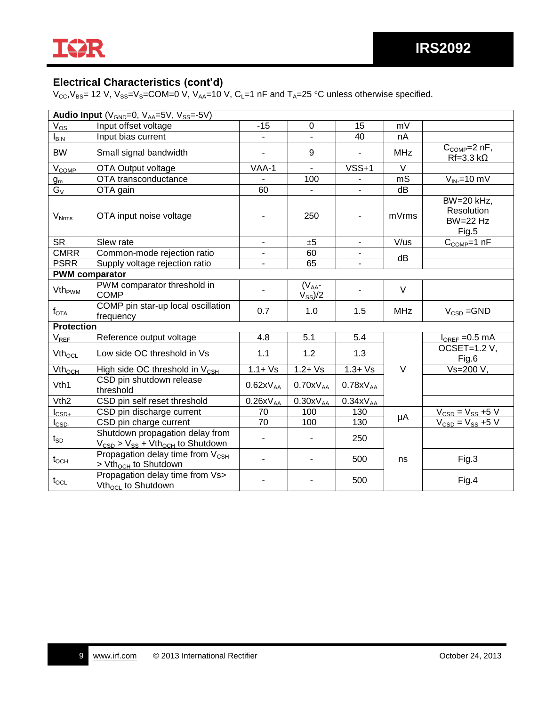

### **Electrical Characteristics (cont'd)**

 $V_{\text{CC}}$ , $V_{\text{BS}}$ = 12 V,  $V_{\text{SS}}$ = $V_{\text{S}}$ =COM=0 V,  $V_{\text{AA}}$ =10 V, C<sub>L</sub>=1 nF and T<sub>A</sub>=25 °C unless otherwise specified.

| Audio Input (V <sub>GND</sub> =0, V <sub>AA</sub> =5V, V <sub>SS</sub> =-5V) |                                                                                                        |                              |                              |                |            |                                                               |
|------------------------------------------------------------------------------|--------------------------------------------------------------------------------------------------------|------------------------------|------------------------------|----------------|------------|---------------------------------------------------------------|
| $V_{OS}$                                                                     | Input offset voltage                                                                                   | $-15$                        | 0                            | 15             | mV         |                                                               |
| $I_{\text{BIN}}$                                                             | Input bias current                                                                                     | $\overline{\phantom{a}}$     | $\blacksquare$               | 40             | nA         |                                                               |
| <b>BW</b>                                                                    | Small signal bandwidth                                                                                 | $\overline{a}$               | 9                            |                | <b>MHz</b> | $C_{COMP} = 2 nF$ ,<br>$Rf=3.3 k\Omega$                       |
| V <sub>COMP</sub>                                                            | OTA Output voltage                                                                                     | VAA-1                        | $\blacksquare$               | $VSS+1$        | $\vee$     |                                                               |
| $g_m$                                                                        | OTA transconductance                                                                                   |                              | 100                          |                | mS         | $V_{IN}$ =10 mV                                               |
| $G_V$                                                                        | OTA gain                                                                                               | 60                           |                              |                | dB         |                                                               |
| $V_{Nrms}$                                                                   | OTA input noise voltage                                                                                | $\overline{a}$               | 250                          |                | mVrms      | $\overline{BW}$ =20 kHz,<br>Resolution<br>$BW=22 Hz$<br>Fig.5 |
| <b>SR</b>                                                                    | Slew rate                                                                                              | $\overline{\phantom{a}}$     | ±5                           | $\blacksquare$ | V/us       | $C_{COMP}=1$ nF                                               |
| <b>CMRR</b>                                                                  | Common-mode rejection ratio                                                                            | $\overline{\phantom{a}}$     | 60                           |                | dB         |                                                               |
| <b>PSRR</b>                                                                  | Supply voltage rejection ratio                                                                         | $\overline{\phantom{a}}$     | 65                           | -              |            |                                                               |
| <b>PWM</b> comparator                                                        |                                                                                                        |                              |                              |                |            |                                                               |
| Vth <sub>PWM</sub>                                                           | PWM comparator threshold in<br><b>COMP</b>                                                             |                              | $(VAA$ -<br>$V_{SS}$ /2      |                | $\vee$     |                                                               |
| $\sf{f}_{\mathsf{OTA}}$                                                      | COMP pin star-up local oscillation<br>frequency                                                        | 0.7                          | 1.0                          | 1.5            | <b>MHz</b> | $V_{CSD} = GND$                                               |
| <b>Protection</b>                                                            |                                                                                                        |                              |                              |                |            |                                                               |
| $V_{REF}$                                                                    | Reference output voltage                                                                               | 4.8                          | 5.1                          | 5.4            |            | $I_{OREF} = 0.5$ mA                                           |
| Vth <sub>ocL</sub>                                                           | Low side OC threshold in Vs                                                                            | 1.1                          | 1.2                          | 1.3            |            | OCSET=1.2 V,<br>Fig.6                                         |
| $Vth_{OCH}$                                                                  | High side OC threshold in $V_{CSH}$                                                                    | $1.1 + Vs$                   | $1.2 + Vs$                   | $1.3 + Vs$     | $\vee$     | Vs=200 V,                                                     |
| Vth1                                                                         | CSD pin shutdown release<br>threshold                                                                  | $0.62xV_{AA}$                | $0.70xV_{AA}$                | $0.78xV_{AA}$  |            |                                                               |
| V <sub>th2</sub>                                                             | CSD pin self reset threshold                                                                           | $0.26xV_{AA}$                | $0.30xV_{AA}$                | $0.34xV_{AA}$  |            |                                                               |
| $I_{\text{CSD+}}$                                                            | CSD pin discharge current                                                                              | 70                           | 100                          | 130            | μA         | $V_{\text{CSD}} = V_{SS} + 5 V$                               |
| $I_{\text{CSD}}$                                                             | CSD pin charge current                                                                                 | 70                           | 100                          | 130            |            | $V_{CSD} = V_{SS} + 5 V$                                      |
| $t_{SD}$                                                                     | Shutdown propagation delay from<br>$V_{\text{CSD}}$ > $V_{\text{SS}}$ + Vth <sub>och</sub> to Shutdown | $\qquad \qquad \blacksquare$ | $\qquad \qquad \blacksquare$ | 250            |            |                                                               |
| $t_{OCH}$                                                                    | Propagation delay time from V <sub>CSH</sub><br>> Vth <sub>och</sub> to Shutdown                       | ÷,                           | $\blacksquare$               | 500            | ns         | Fig.3                                                         |
| $t_{\text{OCL}}$                                                             | Propagation delay time from Vs><br>Vth <sub>ocL</sub> to Shutdown                                      | $\blacksquare$               |                              | 500            |            | Fig.4                                                         |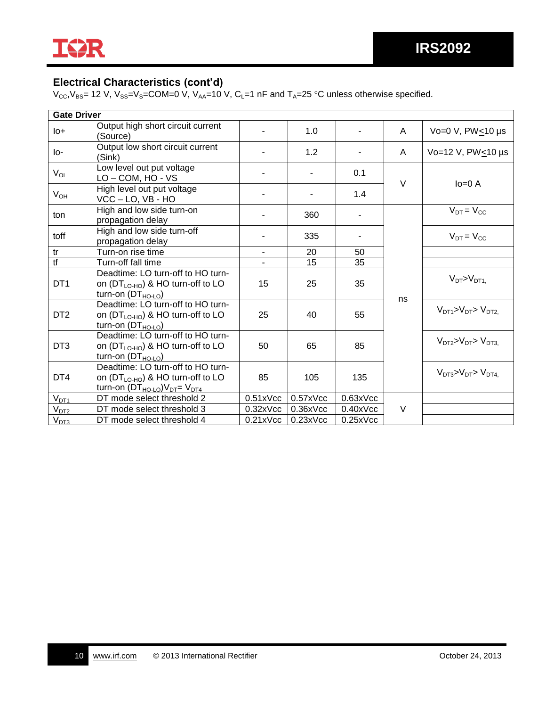

### **Electrical Characteristics (cont'd)**

 $V_{\text{CC}}$ , $V_{\text{BS}}$ = 12 V,  $V_{\text{SS}}$ = $V_{\text{S}}$ =COM=0 V,  $V_{\text{AA}}$ =10 V, C<sub>L</sub>=1 nF and T<sub>A</sub>=25 °C unless otherwise specified.

| <b>Gate Driver</b>        |                                                                                                                             |                |                |          |        |                                  |
|---------------------------|-----------------------------------------------------------------------------------------------------------------------------|----------------|----------------|----------|--------|----------------------------------|
| $I_{0+}$                  | Output high short circuit current<br>(Source)                                                                               | ۰              | 1.0            |          | A      | Vo=0 V, $PW<10 \mu s$            |
| lo-                       | Output low short circuit current<br>(Sink)                                                                                  |                | 1.2            |          | A      | Vo=12 V, PW<10 µs                |
| $V_{OL}$                  | Low level out put voltage<br>LO-COM, HO-VS                                                                                  | $\blacksquare$ | $\blacksquare$ | 0.1      | V      |                                  |
| $V_{OH}$                  | High level out put voltage<br>VCC - LO, VB - HO                                                                             |                |                | 1.4      |        | $lo=0 A$                         |
| ton                       | High and low side turn-on<br>propagation delay                                                                              | $\blacksquare$ | 360            |          |        | $V_{DT} = V_{CC}$                |
| toff                      | High and low side turn-off<br>propagation delay                                                                             |                | 335            |          |        | $V_{DT} = V_{CC}$                |
| tr                        | Turn-on rise time                                                                                                           | $\blacksquare$ | 20             | 50       |        |                                  |
| $\overline{\mathfrak{t}}$ | Turn-off fall time                                                                                                          |                | 15             | 35       |        |                                  |
| DT <sub>1</sub>           | Deadtime: LO turn-off to HO turn-<br>on $(DT_{LO-HO})$ & HO turn-off to LO<br>turn-on $(DT_{HO\text{-}LO})$                 | 15             | 25             | 35       |        | $V_{DT} > V_{DT1}$               |
| DT <sub>2</sub>           | Deadtime: LO turn-off to HO turn-<br>on $(DT_{LO-HO})$ & HO turn-off to LO<br>turn-on $(DT_{HO\text{-}LO})$                 | 25             | 40             | 55       | ns     | $V_{DT1} > V_{DT} > V_{DT2}$     |
| DT <sub>3</sub>           | Deadtime: LO turn-off to HO turn-<br>on $(DT_{LO-HO})$ & HO turn-off to LO<br>turn-on $(DT_{HO\text{-}LO})$                 | 50             | 65             | 85       |        | $V_{DT2}$ > $V_{DT}$ > $V_{DT3}$ |
| DT4                       | Deadtime: LO turn-off to HO turn-<br>on $(DT_{LO-HO})$ & HO turn-off to LO<br>turn-on $(DT_{HO\text{-}LO})V_{DT} = V_{DT4}$ | 85             | 105            | 135      |        | $V_{DT3}$ > $V_{DT}$ > $V_{DT4}$ |
| $V_{DT1}$                 | DT mode select threshold 2                                                                                                  | 0.51xVec       | $0.57x$ Vcc    | 0.63xVec |        |                                  |
| V <sub>DT2</sub>          | DT mode select threshold 3                                                                                                  | $0.32x$ Vcc    | $0.36x$ Vcc    | 0.40xVec | $\vee$ |                                  |
| $V_{D13}$                 | DT mode select threshold 4                                                                                                  | 0.21xVec       | 0.23xVcc       | 0.25xVec |        |                                  |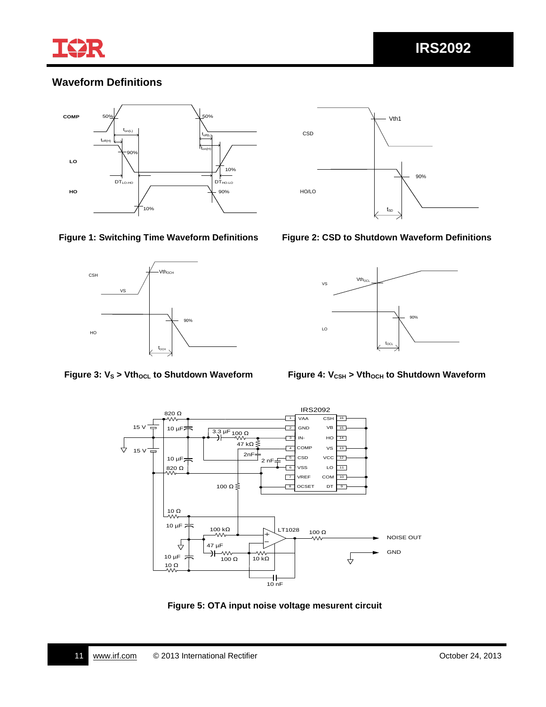

### **Waveform Definitions**







### **Figure 1: Switching Time Waveform Definitions Figure 2: CSD to Shutdown Waveform Definitions**







**Figure 5: OTA input noise voltage mesurent circuit**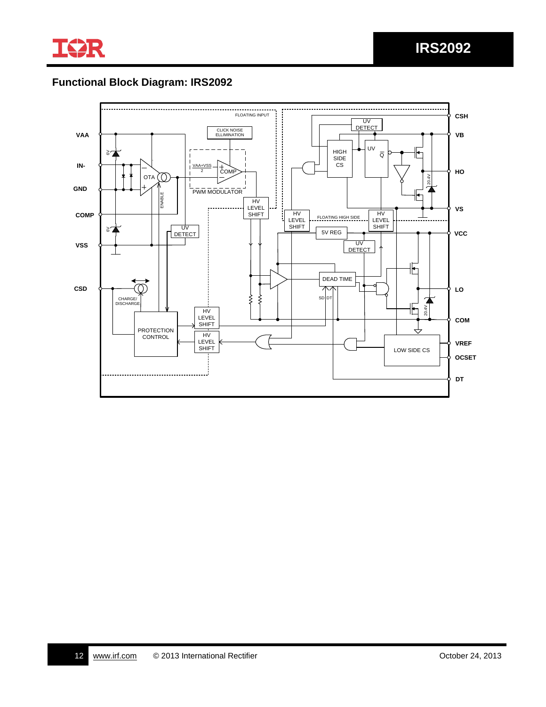

# **Functional Block Diagram: IRS2092**

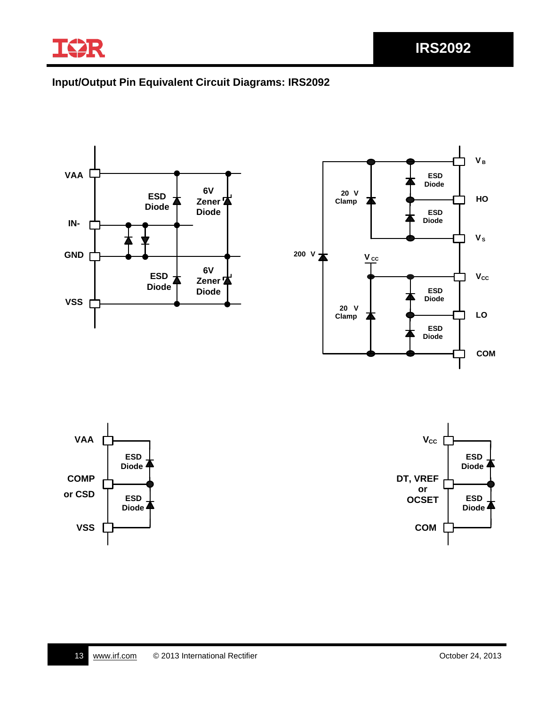

## **Input/Output Pin Equivalent Circuit Diagrams: IRS2092**

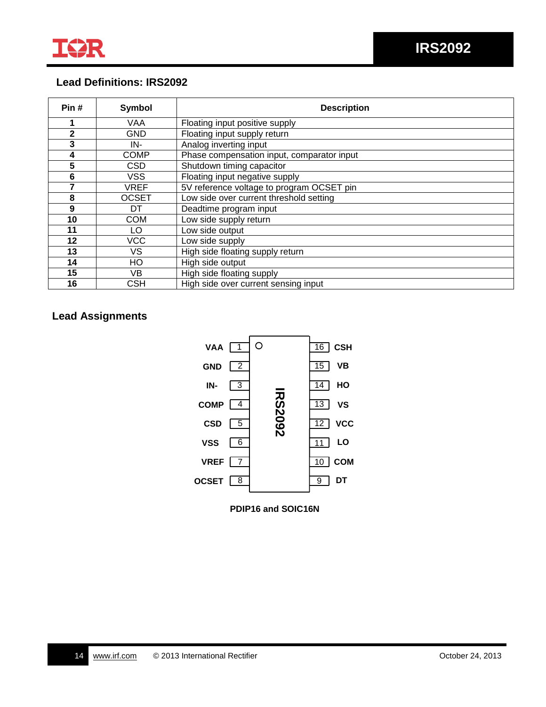

### **Lead Definitions: IRS2092**

| Pin#         | Symbol       | <b>Description</b>                         |  |  |
|--------------|--------------|--------------------------------------------|--|--|
|              | VAA          | Floating input positive supply             |  |  |
| $\mathbf{2}$ | <b>GND</b>   | Floating input supply return               |  |  |
| 3            | IN-          | Analog inverting input                     |  |  |
| 4            | <b>COMP</b>  | Phase compensation input, comparator input |  |  |
| 5            | CSD          | Shutdown timing capacitor                  |  |  |
| 6            | <b>VSS</b>   | Floating input negative supply             |  |  |
|              | <b>VREF</b>  | 5V reference voltage to program OCSET pin  |  |  |
| 8            | <b>OCSET</b> | Low side over current threshold setting    |  |  |
| 9            | DT           | Deadtime program input                     |  |  |
| 10           | <b>COM</b>   | Low side supply return                     |  |  |
| 11           | LO.          | Low side output                            |  |  |
| 12           | <b>VCC</b>   | Low side supply                            |  |  |
| 13           | VS           | High side floating supply return           |  |  |
| 14           | HO           | High side output                           |  |  |
| 15           | VB.          | High side floating supply                  |  |  |
| 16           | CSH          | High side over current sensing input       |  |  |

## **Lead Assignments**



**PDIP16 and SOIC16N**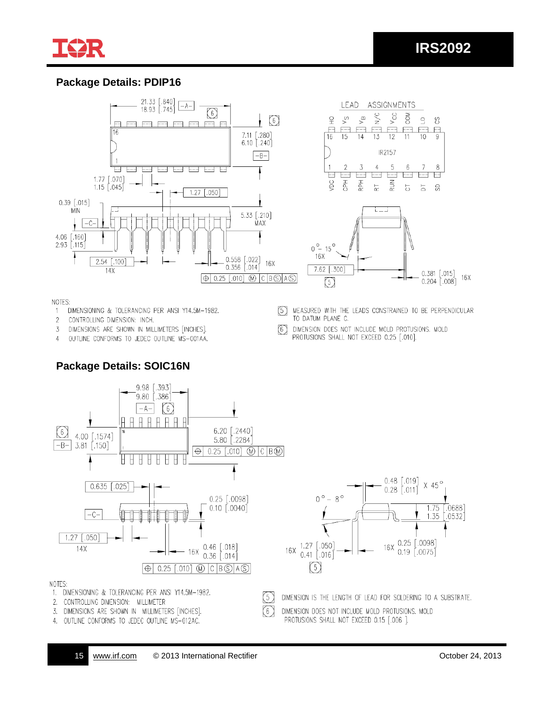

### **Package Details: PDIP16**



NOTES:

DIMENSIONING & TOLERANCING PER ANSI Y14.5M-1982.  $1$ 

2 CONTROLLING DIMENSION: INCH.

3 DIMENSIONS ARE SHOWN IN MILLIMETERS [INCHES].

**Package Details: SOIC16N**

OUTLINE CONFORMS TO JEDEC OUTLINE MS-001AA.  $\varDelta$ 

MEASURED WITH THE LEADS CONSTRAINED TO BE PERPENDICULAR 5 TO DATUM PLANE C.

DIMENSION DOES NOT INCLUDE MOLD PROTUSIONS. MOLD  $(6)$ PROTUSIONS SHALL NOT EXCEED 0.25 [.010].



DIMENSION DOES NOT INCLUDE MOLD PROTUSIONS. MOLD 6) PROTUSIONS SHALL NOT EXCEED 0.15 [.006 ].

3. DIMENSIONS ARE SHOWN IN MILLIMETERS [INCHES]. 4. OUTLINE CONFORMS TO JEDEC OUTLINE MS-012AC.

 $X$  45 $^{\circ}$ 

1.75

 $0.25$   $[.0098]$ 

 $0.19$   $0.0075$ 

 $[.0688]$ 

1.35 [.0532]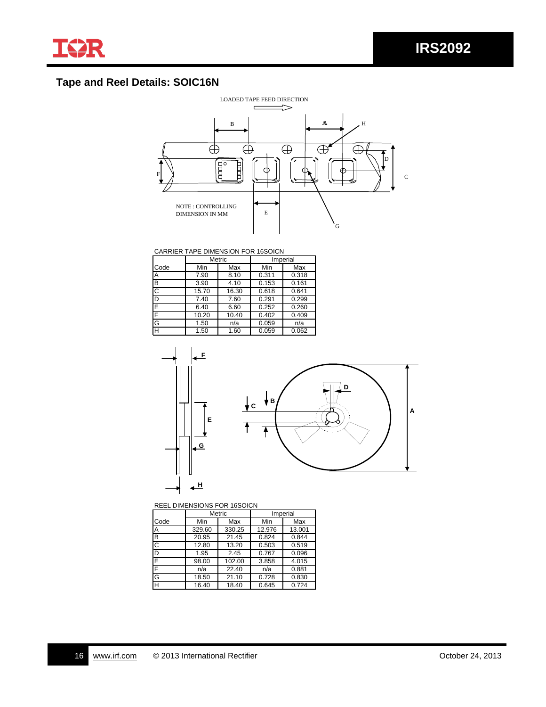# **Tape and Reel Details: SOIC16N**



### CARRIER TAPE DIMENSION FOR 16SOICN

|                         |       | <b>Metric</b> |       | Imperial |
|-------------------------|-------|---------------|-------|----------|
| Code                    | Min   | Max           | Min   | Max      |
| Α                       | 7.90  | 8.10          | 0.311 | 0.318    |
| B                       | 3.90  | 4.10          | 0.153 | 0.161    |
| C                       | 15.70 | 16.30         | 0.618 | 0.641    |
| D                       | 7.40  | 7.60          | 0.291 | 0.299    |
| $\overline{\mathsf{E}}$ | 6.40  | 6.60          | 0.252 | 0.260    |
| F                       | 10.20 | 10.40         | 0.402 | 0.409    |
| G                       | 1.50  | n/a           | 0.059 | n/a      |
| $\overline{\mathsf{H}}$ | 1.50  | 1.60          | 0.059 | 0.062    |



### REEL DIMENSIONS FOR 16SOICN

|                         |        | <b>Metric</b> |        | Imperial |
|-------------------------|--------|---------------|--------|----------|
| Code                    | Min    | Max           | Min    | Max      |
| A                       | 329.60 | 330.25        | 12.976 | 13.001   |
| B                       | 20.95  | 21.45         | 0.824  | 0.844    |
| C                       | 12.80  | 13.20         | 0.503  | 0.519    |
| D                       | 1.95   | 2.45          | 0.767  | 0.096    |
| Ē                       | 98.00  | 102.00        | 3.858  | 4.015    |
| F                       | n/a    | 22.40         | n/a    | 0.881    |
| G                       | 18.50  | 21.10         | 0.728  | 0.830    |
| $\overline{\mathsf{H}}$ | 16.40  | 18.40         | 0.645  | 0.724    |